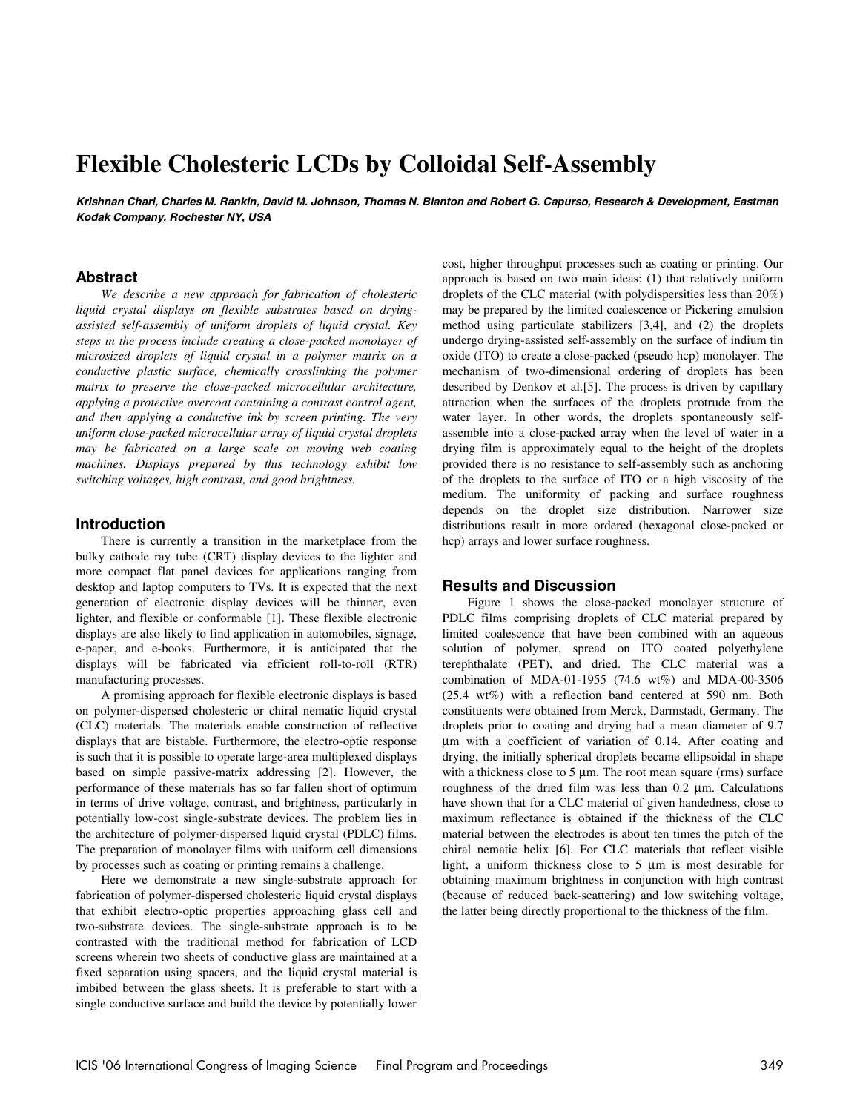# **Flexible Cholesteric LCDs by Colloidal Self-Assembly**

**Krishnan Chari, Charles M. Rankin, David M. Johnson, Thomas N. Blanton and Robert G. Capurso, Research & Development, Eastman Kodak Company, Rochester NY, USA** 

### **Abstract**

*We describe a new approach for fabrication of cholesteric liquid crystal displays on flexible substrates based on dryingassisted self-assembly of uniform droplets of liquid crystal. Key steps in the process include creating a close-packed monolayer of microsized droplets of liquid crystal in a polymer matrix on a conductive plastic surface, chemically crosslinking the polymer matrix to preserve the close-packed microcellular architecture, applying a protective overcoat containing a contrast control agent, and then applying a conductive ink by screen printing. The very uniform close-packed microcellular array of liquid crystal droplets may be fabricated on a large scale on moving web coating machines. Displays prepared by this technology exhibit low switching voltages, high contrast, and good brightness.* 

# **Introduction**

There is currently a transition in the marketplace from the bulky cathode ray tube (CRT) display devices to the lighter and more compact flat panel devices for applications ranging from desktop and laptop computers to TVs. It is expected that the next generation of electronic display devices will be thinner, even lighter, and flexible or conformable [1]. These flexible electronic displays are also likely to find application in automobiles, signage, e-paper, and e-books. Furthermore, it is anticipated that the displays will be fabricated via efficient roll-to-roll (RTR) manufacturing processes.

A promising approach for flexible electronic displays is based on polymer-dispersed cholesteric or chiral nematic liquid crystal (CLC) materials. The materials enable construction of reflective displays that are bistable. Furthermore, the electro-optic response is such that it is possible to operate large-area multiplexed displays based on simple passive-matrix addressing [2]. However, the performance of these materials has so far fallen short of optimum in terms of drive voltage, contrast, and brightness, particularly in potentially low-cost single-substrate devices. The problem lies in the architecture of polymer-dispersed liquid crystal (PDLC) films. The preparation of monolayer films with uniform cell dimensions by processes such as coating or printing remains a challenge.

Here we demonstrate a new single-substrate approach for fabrication of polymer-dispersed cholesteric liquid crystal displays that exhibit electro-optic properties approaching glass cell and two-substrate devices. The single-substrate approach is to be contrasted with the traditional method for fabrication of LCD screens wherein two sheets of conductive glass are maintained at a fixed separation using spacers, and the liquid crystal material is imbibed between the glass sheets. It is preferable to start with a single conductive surface and build the device by potentially lower cost, higher throughput processes such as coating or printing. Our approach is based on two main ideas: (1) that relatively uniform droplets of the CLC material (with polydispersities less than 20%) may be prepared by the limited coalescence or Pickering emulsion method using particulate stabilizers [3,4], and (2) the droplets undergo drying-assisted self-assembly on the surface of indium tin oxide (ITO) to create a close-packed (pseudo hcp) monolayer. The mechanism of two-dimensional ordering of droplets has been described by Denkov et al.[5]. The process is driven by capillary attraction when the surfaces of the droplets protrude from the water layer. In other words, the droplets spontaneously selfassemble into a close-packed array when the level of water in a drying film is approximately equal to the height of the droplets provided there is no resistance to self-assembly such as anchoring of the droplets to the surface of ITO or a high viscosity of the medium. The uniformity of packing and surface roughness depends on the droplet size distribution. Narrower size distributions result in more ordered (hexagonal close-packed or hcp) arrays and lower surface roughness.

#### **Results and Discussion**

Figure 1 shows the close-packed monolayer structure of PDLC films comprising droplets of CLC material prepared by limited coalescence that have been combined with an aqueous solution of polymer, spread on ITO coated polyethylene terephthalate (PET), and dried. The CLC material was a combination of MDA-01-1955 (74.6 wt%) and MDA-00-3506 (25.4 wt%) with a reflection band centered at 590 nm. Both constituents were obtained from Merck, Darmstadt, Germany. The droplets prior to coating and drying had a mean diameter of 9.7 µm with a coefficient of variation of 0.14. After coating and drying, the initially spherical droplets became ellipsoidal in shape with a thickness close to 5  $\mu$ m. The root mean square (rms) surface roughness of the dried film was less than 0.2 µm. Calculations have shown that for a CLC material of given handedness, close to maximum reflectance is obtained if the thickness of the CLC material between the electrodes is about ten times the pitch of the chiral nematic helix [6]. For CLC materials that reflect visible light, a uniform thickness close to 5 µm is most desirable for obtaining maximum brightness in conjunction with high contrast (because of reduced back-scattering) and low switching voltage, the latter being directly proportional to the thickness of the film.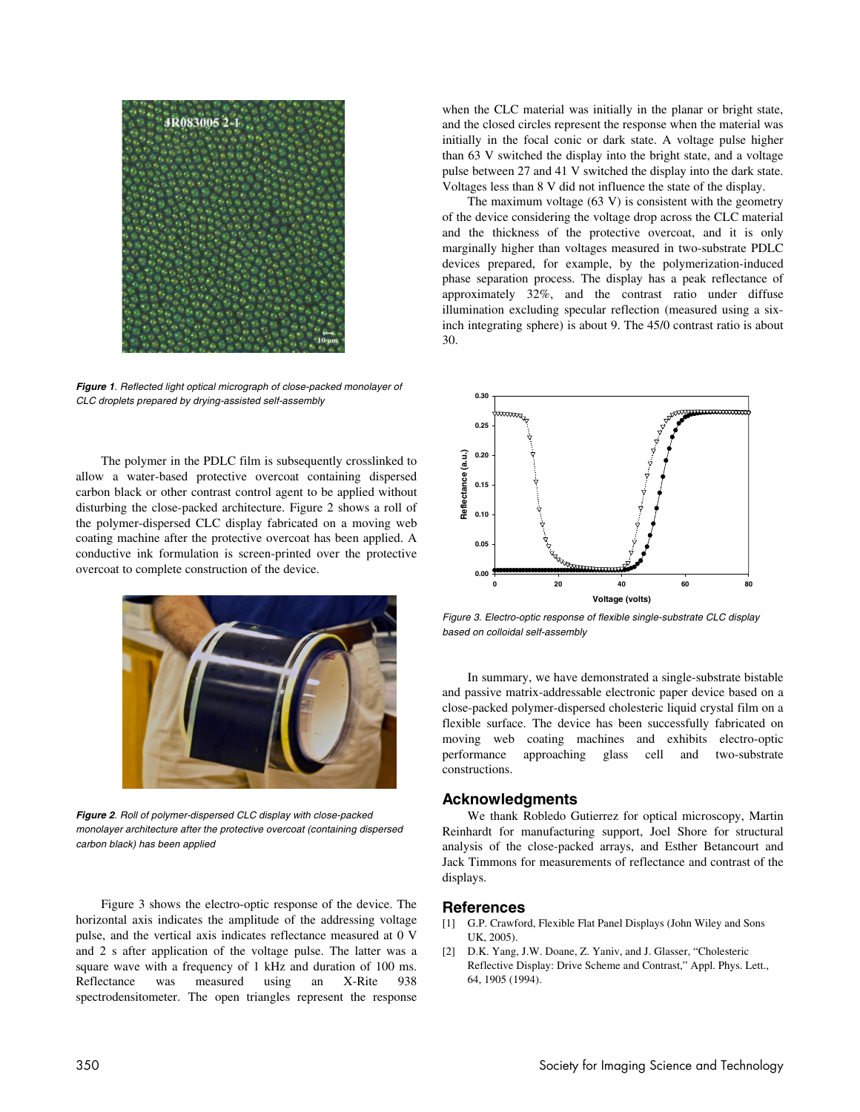

**Figure 1**. Reflected light optical micrograph of close-packed monolayer of CLC droplets prepared by drying-assisted self-assembly

The polymer in the PDLC film is subsequently crosslinked to allow a water-based protective overcoat containing dispersed carbon black or other contrast control agent to be applied without disturbing the close-packed architecture. Figure 2 shows a roll of the polymer-dispersed CLC display fabricated on a moving web coating machine after the protective overcoat has been applied. A conductive ink formulation is screen-printed over the protective overcoat to complete construction of the device.



**Figure 2**. Roll of polymer-dispersed CLC display with close-packed monolayer architecture after the protective overcoat (containing dispersed carbon black) has been applied

 Figure 3 shows the electro-optic response of the device. The horizontal axis indicates the amplitude of the addressing voltage pulse, and the vertical axis indicates reflectance measured at 0 V and 2 s after application of the voltage pulse. The latter was a square wave with a frequency of 1 kHz and duration of 100 ms. Reflectance was measured using an X-Rite 938 spectrodensitometer. The open triangles represent the response when the CLC material was initially in the planar or bright state, and the closed circles represent the response when the material was initially in the focal conic or dark state. A voltage pulse higher than 63 V switched the display into the bright state, and a voltage pulse between 27 and 41 V switched the display into the dark state. Voltages less than 8 V did not influence the state of the display.

 The maximum voltage (63 V) is consistent with the geometry of the device considering the voltage drop across the CLC material and the thickness of the protective overcoat, and it is only marginally higher than voltages measured in two-substrate PDLC devices prepared, for example, by the polymerization-induced phase separation process. The display has a peak reflectance of approximately 32%, and the contrast ratio under diffuse illumination excluding specular reflection (measured using a sixinch integrating sphere) is about 9. The 45/0 contrast ratio is about 30.



Figure 3. Electro-optic response of flexible single-substrate CLC display based on colloidal self-assembly

 In summary, we have demonstrated a single-substrate bistable and passive matrix-addressable electronic paper device based on a close-packed polymer-dispersed cholesteric liquid crystal film on a flexible surface. The device has been successfully fabricated on moving web coating machines and exhibits electro-optic performance approaching glass cell and two-substrate constructions.

# **Acknowledgments**

We thank Robledo Gutierrez for optical microscopy, Martin Reinhardt for manufacturing support, Joel Shore for structural analysis of the close-packed arrays, and Esther Betancourt and Jack Timmons for measurements of reflectance and contrast of the displays.

# **References**

- [1] G.P. Crawford, Flexible Flat Panel Displays (John Wiley and Sons UK, 2005).
- [2] D.K. Yang, J.W. Doane, Z. Yaniv, and J. Glasser, "Cholesteric Reflective Display: Drive Scheme and Contrast," Appl. Phys. Lett., 64, 1905 (1994).